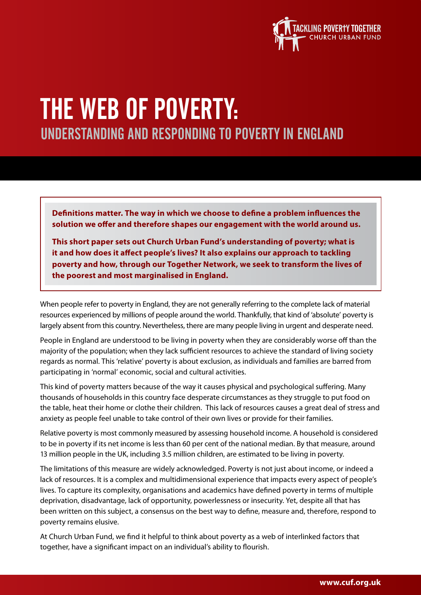

# The Web of Poverty: Understanding and responding to poverty in England

**Definitions matter. The way in which we choose to define a problem influences the solution we offer and therefore shapes our engagement with the world around us.** 

**This short paper sets out Church Urban Fund's understanding of poverty; what is it and how does it affect people's lives? It also explains our approach to tackling poverty and how, through our Together Network, we seek to transform the lives of the poorest and most marginalised in England.**

When people refer to poverty in England, they are not generally referring to the complete lack of material resources experienced by millions of people around the world. Thankfully, that kind of 'absolute' poverty is largely absent from this country. Nevertheless, there are many people living in urgent and desperate need.

People in England are understood to be living in poverty when they are considerably worse off than the majority of the population; when they lack sufficient resources to achieve the standard of living society regards as normal. This 'relative' poverty is about exclusion, as individuals and families are barred from participating in 'normal' economic, social and cultural activities.

This kind of poverty matters because of the way it causes physical and psychological suffering. Many thousands of households in this country face desperate circumstances as they struggle to put food on the table, heat their home or clothe their children. This lack of resources causes a great deal of stress and anxiety as people feel unable to take control of their own lives or provide for their families.

Relative poverty is most commonly measured by assessing household income. A household is considered to be in poverty if its net income is less than 60 per cent of the national median. By that measure, around 13 million people in the UK, including 3.5 million children, are estimated to be living in poverty.

The limitations of this measure are widely acknowledged. Poverty is not just about income, or indeed a lack of resources. It is a complex and multidimensional experience that impacts every aspect of people's lives. To capture its complexity, organisations and academics have defined poverty in terms of multiple deprivation, disadvantage, lack of opportunity, powerlessness or insecurity. Yet, despite all that has been written on this subject, a consensus on the best way to define, measure and, therefore, respond to poverty remains elusive.

At Church Urban Fund, we find it helpful to think about poverty as a web of interlinked factors that together, have a significant impact on an individual's ability to flourish.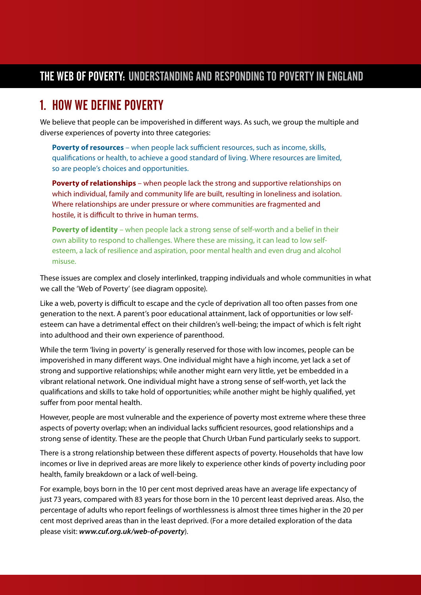#### The Web of Poverty: Understanding and responding to poverty in England

### 1. How we define poverty

We believe that people can be impoverished in different ways. As such, we group the multiple and diverse experiences of poverty into three categories:

**Poverty of resources** – when people lack sufficient resources, such as income, skills, qualifications or health, to achieve a good standard of living. Where resources are limited, so are people's choices and opportunities.

**Poverty of relationships** – when people lack the strong and supportive relationships on which individual, family and community life are built, resulting in loneliness and isolation. Where relationships are under pressure or where communities are fragmented and hostile, it is difficult to thrive in human terms.

**Poverty of identity** – when people lack a strong sense of self-worth and a belief in their own ability to respond to challenges. Where these are missing, it can lead to low selfesteem, a lack of resilience and aspiration, poor mental health and even drug and alcohol misuse.

These issues are complex and closely interlinked, trapping individuals and whole communities in what we call the 'Web of Poverty' (see diagram opposite).

Like a web, poverty is difficult to escape and the cycle of deprivation all too often passes from one generation to the next. A parent's poor educational attainment, lack of opportunities or low selfesteem can have a detrimental effect on their children's well-being; the impact of which is felt right into adulthood and their own experience of parenthood.

While the term 'living in poverty' is generally reserved for those with low incomes, people can be impoverished in many different ways. One individual might have a high income, yet lack a set of strong and supportive relationships; while another might earn very little, yet be embedded in a vibrant relational network. One individual might have a strong sense of self-worth, yet lack the qualifications and skills to take hold of opportunities; while another might be highly qualified, yet suffer from poor mental health.

However, people are most vulnerable and the experience of poverty most extreme where these three aspects of poverty overlap; when an individual lacks sufficient resources, good relationships and a strong sense of identity. These are the people that Church Urban Fund particularly seeks to support.

There is a strong relationship between these different aspects of poverty. Households that have low incomes or live in deprived areas are more likely to experience other kinds of poverty including poor health, family breakdown or a lack of well-being.

For example, boys born in the 10 per cent most deprived areas have an average life expectancy of just 73 years, compared with 83 years for those born in the 10 percent least deprived areas. Also, the percentage of adults who report feelings of worthlessness is almost three times higher in the 20 per cent most deprived areas than in the least deprived. (For a more detailed exploration of the data please visit: *www.cuf.org.uk/web-of-poverty*).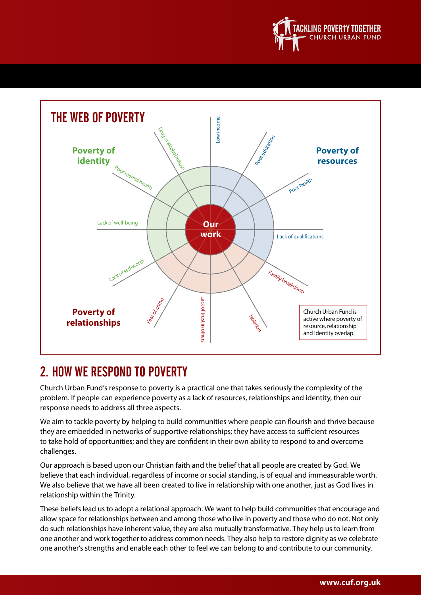



## 2. How we respond to poverty

Church Urban Fund's response to poverty is a practical one that takes seriously the complexity of the problem. If people can experience poverty as a lack of resources, relationships and identity, then our response needs to address all three aspects.

We aim to tackle poverty by helping to build communities where people can flourish and thrive because they are embedded in networks of supportive relationships; they have access to sufficient resources to take hold of opportunities; and they are confident in their own ability to respond to and overcome challenges.

Our approach is based upon our Christian faith and the belief that all people are created by God. We believe that each individual, regardless of income or social standing, is of equal and immeasurable worth. We also believe that we have all been created to live in relationship with one another, just as God lives in relationship within the Trinity.

These beliefs lead us to adopt a relational approach. We want to help build communities that encourage and allow space for relationships between and among those who live in poverty and those who do not. Not only do such relationships have inherent value, they are also mutually transformative. They help us to learn from one another and work together to address common needs. They also help to restore dignity as we celebrate one another's strengths and enable each other to feel we can belong to and contribute to our community.